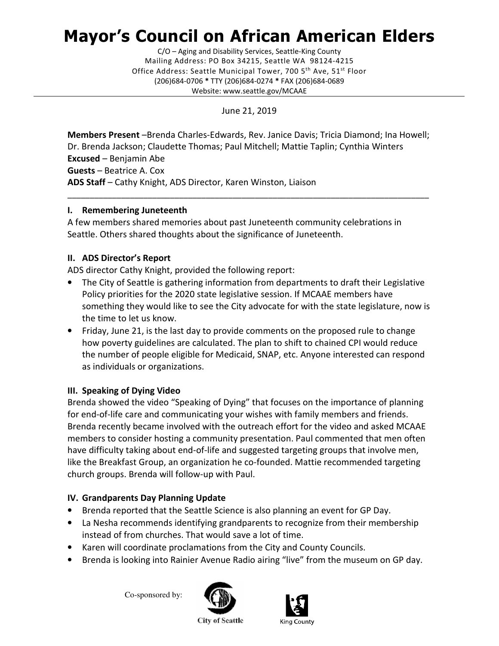# Mayor's Council on African American Elders

 Mailing Address: PO Box 34215, Seattle WA 98124-4215 Office Address: Seattle Municipal Tower, 700 5<sup>th</sup> Ave, 51<sup>st</sup> Floor (206)684-0706 \* TTY (206)684-0274 \* FAX (206)684-0689 C/O – Aging and Disability Services, Seattle-King County Website: <www.seattle.gov/MCAAE>

June 21, 2019

Members Present -Brenda Charles-Edwards, Rev. Janice Davis; Tricia Diamond; Ina Howell; Dr. Brenda Jackson; Claudette Thomas; Paul Mitchell; Mattie Taplin; Cynthia Winters Excused – Benjamin Abe Guests – Beatrice A. Cox ADS Staff - Cathy Knight, ADS Director, Karen Winston, Liaison

\_\_\_\_\_\_\_\_\_\_\_\_\_\_\_\_\_\_\_\_\_\_\_\_\_\_\_\_\_\_\_\_\_\_\_\_\_\_\_\_\_\_\_\_\_\_\_\_\_\_\_\_\_\_\_\_\_\_\_\_\_\_\_\_\_\_\_\_\_\_\_\_\_\_\_\_\_\_\_\_\_

## I. Remembering Juneteenth

 A few members shared memories about past Juneteenth community celebrations in Seattle. Others shared thoughts about the significance of Juneteenth.

## II. ADS Director's Report

ADS director Cathy Knight, provided the following report:

- • The City of Seattle is gathering information from departments to draft their Legislative Policy priorities for the 2020 state legislative session. If MCAAE members have something they would like to see the City advocate for with the state legislature, now is the time to let us know.
- • Friday, June 21, is the last day to provide comments on the proposed rule to change how poverty guidelines are calculated. The plan to shift to chained CPI would reduce the number of people eligible for Medicaid, SNAP, etc. Anyone interested can respond as individuals or organizations.

## III. Speaking of Dying Video

 Brenda showed the video "Speaking of Dying" that focuses on the importance of planning for end-of-life care and communicating your wishes with family members and friends. Brenda recently became involved with the outreach effort for the video and asked MCAAE members to consider hosting a community presentation. Paul commented that men often have difficulty taking about end-of-life and suggested targeting groups that involve men, like the Breakfast Group, an organization he co-founded. Mattie recommended targeting church groups. Brenda will follow-up with Paul.

## IV. Grandparents Day Planning Update

- Brenda reported that the Seattle Science is also planning an event for GP Day.
- • La Nesha recommends identifying grandparents to recognize from their membership instead of from churches. That would save a lot of time.
- Karen will coordinate proclamations from the City and County Councils.
- Brenda is looking into Rainier Avenue Radio airing "live" from the museum on GP day.

Co-sponsored by: